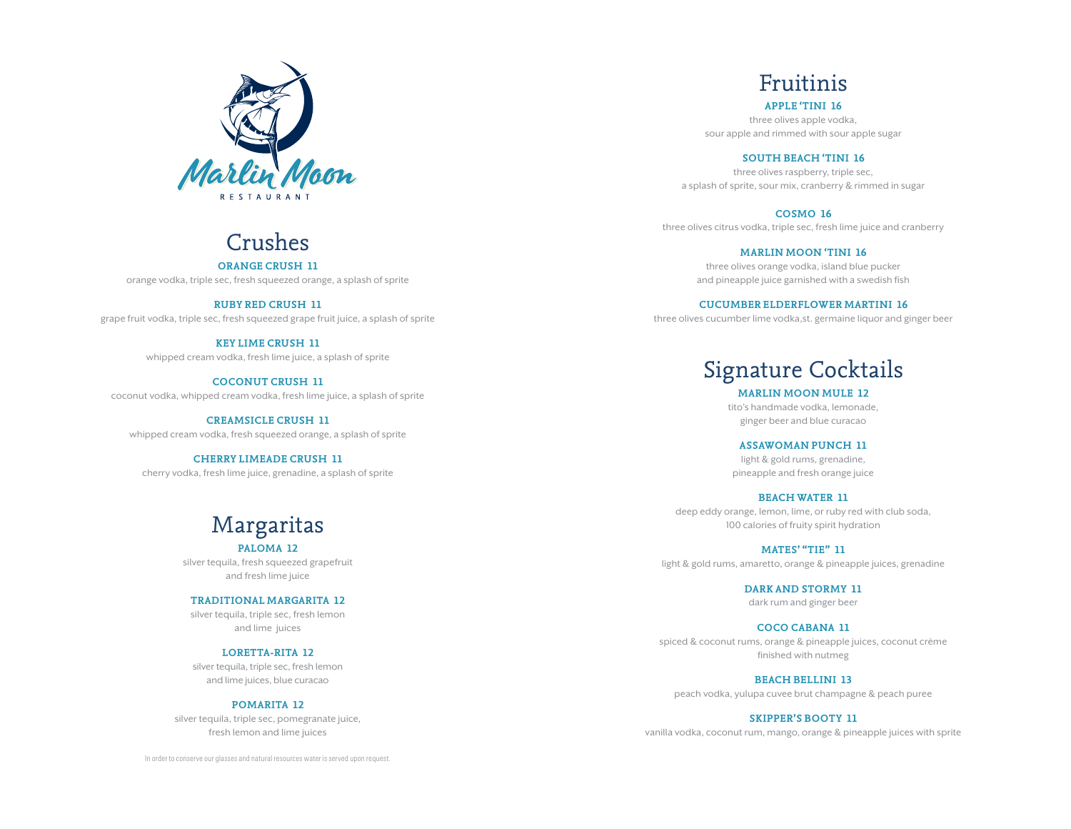

### Crushes

**Orange Crush 11** orange vodka, triple sec, fresh squeezed orange, a splash of sprite

**ruby red crush 11** grape fruit vodka, triple sec, fresh squeezed grape fruit juice, a splash of sprite

> **key lime crush 11** whipped cream vodka, fresh lime juice, a splash of sprite

**coconut crush 11** coconut vodka, whipped cream vodka, fresh lime juice, a splash of sprite

**creamsicle crush 11** whipped cream vodka, fresh squeezed orange, a splash of sprite

**cherry limeade crush 11** cherry vodka, fresh lime juice, grenadine, a splash of sprite

# Margaritas

**paloma 12** silver tequila, fresh squeezed grapefruit and fresh lime juice

**traditional margarita 12** silver tequila, triple sec, fresh lemon

and lime juices

### **loretta-rita 12**

silver tequila, triple sec, fresh lemon and lime juices, blue curacao

### **pomarita 12**

silver tequila, triple sec, pomegranate juice, fresh lemon and lime juices

In order to conserve our glasses and natural resources water is served upon request.

Fruitinis

**apple 'tini 16** three olives apple vodka, sour apple and rimmed with sour apple sugar

**south beach 'tini 16**

three olives raspberry, triple sec, a splash of sprite, sour mix, cranberry & rimmed in sugar

**cosmo 16**

three olives citrus vodka, triple sec, fresh lime juice and cranberry

**marlin moon 'tini 16**

three olives orange vodka, island blue pucker and pineapple juice garnished with a swedish fish

**cucumber elderflower martini 16**

three olives cucumber lime vodka,st. germaine liquor and ginger beer

## Signature Cocktails

**marlin moon mule 12** tito's handmade vodka, lemonade, ginger beer and blue curacao

**assawoman punch 11**

light & gold rums, grenadine, pineapple and fresh orange juice

### **Beach Water 11**

deep eddy orange, lemon, lime, or ruby red with club soda, 100 calories of fruity spirit hydration

**mates' "tie" 11** light & gold rums, amaretto, orange & pineapple juices, grenadine

> **dark and stormy 11** dark rum and ginger beer

**coco cabana 11** spiced & coconut rums, orange & pineapple juices, coconut crème finished with nutmeg

**beach bellini 13** peach vodka, yulupa cuvee brut champagne & peach puree

**skipper's booty 11**

vanilla vodka, coconut rum, mango, orange & pineapple juices with sprite